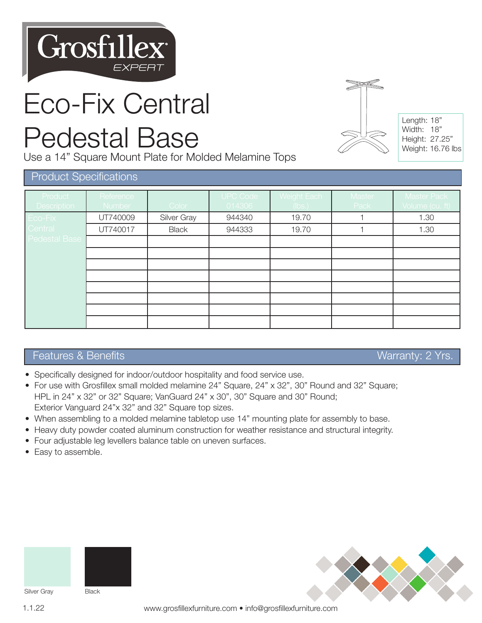

# Eco-Fix Central

### Pedestal Base

Use a 14" Square Mount Plate for Molded Melamine Tops



Length: 18" Width: 18" Height: 27.25" Weight: 16.76 lbs

#### Product Specifications

| Product<br><b>Description</b> | Reference<br>Number | Color        | <b>UPC Code</b><br>1014306 | Weight Each<br>(lbs.) | Master<br>Pack | <b>Master Pack</b><br>Volume (cu. ft), |
|-------------------------------|---------------------|--------------|----------------------------|-----------------------|----------------|----------------------------------------|
| Eco-Fix                       | UT740009            | Silver Gray  | 944340                     | 19.70                 |                | 1.30                                   |
| Central                       | UT740017            | <b>Black</b> | 944333                     | 19.70                 |                | 1.30                                   |
| <b>Pedestal Base</b>          |                     |              |                            |                       |                |                                        |
|                               |                     |              |                            |                       |                |                                        |
|                               |                     |              |                            |                       |                |                                        |
|                               |                     |              |                            |                       |                |                                        |
|                               |                     |              |                            |                       |                |                                        |
|                               |                     |              |                            |                       |                |                                        |
|                               |                     |              |                            |                       |                |                                        |
|                               |                     |              |                            |                       |                |                                        |

#### Features & Benefits Warranty: 2 Yrs.

- Specifically designed for indoor/outdoor hospitality and food service use.
- For use with Grosfillex small molded melamine 24" Square, 24" x 32", 30" Round and 32" Square; HPL in 24" x 32" or 32" Square; VanGuard 24" x 30", 30" Square and 30" Round; Exterior Vanguard 24"x 32" and 32" Square top sizes.
- When assembling to a molded melamine tabletop use 14" mounting plate for assembly to base.
- Heavy duty powder coated aluminum construction for weather resistance and structural integrity.
- Four adjustable leg levellers balance table on uneven surfaces.
- Easy to assemble.